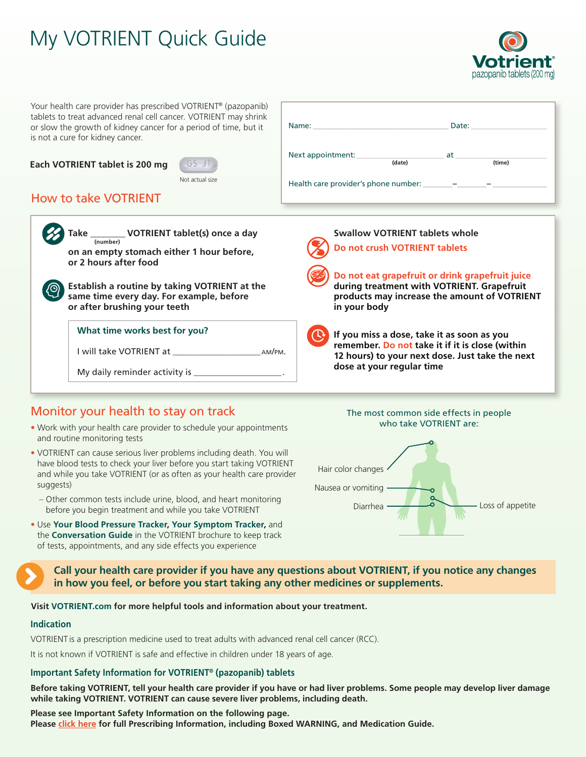# My VOTRIENT Quick Guide



**VOTRIENT** 

the next

Your health care provider has prescribed VOTRIENT® (pazopanib) tablets to treat advanced renal cell cancer. VOTRIENT may shrink or slow the growth of kidney cancer for a period of time, but it is not a cure for kidney cancer.

#### **Each VOTRIENT tablet is 200 mg**



Not actual size

## How to take VOTRIENT

|  | VOTRIENT tablet(s) once a day<br><b>Take</b><br>(number)<br>on an empty stomach either 1 hour before,<br>or 2 hours after food<br>Establish a routine by taking VOTRIENT at the<br>same time every day. For example, before<br>or after brushing your teeth | <b>Swallow VOTRIENT tablets whole</b><br>Do not crush VOTRIENT tablets<br>Do not eat grapefruit or drink grapefruit juice<br>during treatment with VOTRIENT. Grapefruit<br>products may increase the amount of VOTRIEI<br>in your body |
|--|-------------------------------------------------------------------------------------------------------------------------------------------------------------------------------------------------------------------------------------------------------------|----------------------------------------------------------------------------------------------------------------------------------------------------------------------------------------------------------------------------------------|
|  | What time works best for you?                                                                                                                                                                                                                               | If you miss a dose, take it as soon as you                                                                                                                                                                                             |
|  | I will take VOTRIENT at <b>NAME I</b><br>AM/PM.                                                                                                                                                                                                             | remember. Do not take it if it is close (within<br>12 hours) to your next dose. Just take the nex                                                                                                                                      |
|  | My daily reminder activity is                                                                                                                                                                                                                               | dose at your regular time                                                                                                                                                                                                              |

### Monitor your health to stay on track

- Work with your health care provider to schedule your appointments and routine monitoring tests
- VOTRIENT can cause serious liver problems including death. You will have blood tests to check your liver before you start taking VOTRIENT and while you take VOTRIENT (or as often as your health care provider suggests)
	- Other common tests include urine, blood, and heart monitoring before you begin treatment and while you take VOTRIENT
- Use **Your Blood Pressure Tracker, Your Symptom Tracker,** and the **Conversation Guide** in the VOTRIENT brochure to keep track of tests, appointments, and any side effects you experience

**Call your health care provider if you have any questions about VOTRIENT, if you notice any changes in how you feel, or before you start taking any other medicines or supplements.**

**Visit [VOTRIENT.com](http://www.votrient.com) for more helpful tools and information about your treatment.**

#### **Indication**

VOTRIENT is a prescription medicine used to treat adults with advanced renal cell cancer (RCC).

It is not known if VOTRIENT is safe and effective in children under 18 years of age.

#### **Important Safety Information for VOTRIENT® (pazopanib) tablets**

**Before taking VOTRIENT, tell your health care provider if you have or had liver problems. Some people may develop liver damage while taking VOTRIENT. VOTRIENT can cause severe liver problems, including death.**

**Please see Important Safety Information on the following page. Please [click here](https://www.novartis.us/sites/www.novartis.us/files/votrient.pdf) for full Prescribing Information, including Boxed WARNING, and Medication Guide.**



Name: \_\_\_\_\_\_\_\_\_\_\_\_\_\_\_\_\_\_\_\_\_\_\_\_\_\_\_\_\_\_\_\_\_\_ Date: \_\_\_\_\_\_\_\_\_\_\_\_\_\_\_\_\_\_\_

**(date) (time)**

Next appointment:  $\frac{1}{\text{(date)}}$  at  $\frac{1}{\text{(time)}}$ 

Health care provider's phone number: